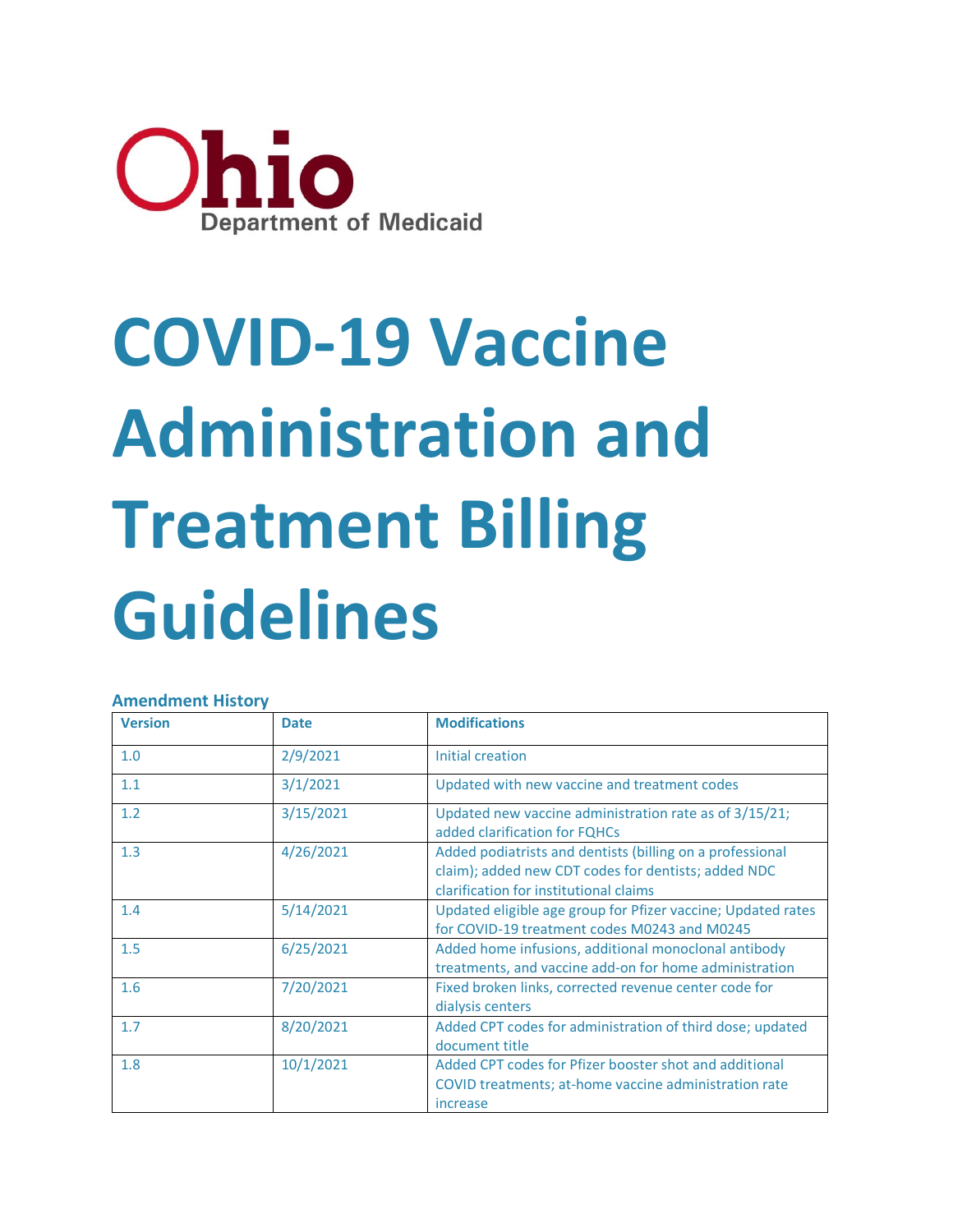

# **COVID-19 Vaccine Administration and Treatment Billing Guidelines**

#### **Amendment History**

| <b>Version</b> | <b>Date</b> | <b>Modifications</b>                                                                                                                                       |
|----------------|-------------|------------------------------------------------------------------------------------------------------------------------------------------------------------|
| 1.0            | 2/9/2021    | Initial creation                                                                                                                                           |
| 1.1            | 3/1/2021    | Updated with new vaccine and treatment codes                                                                                                               |
| 1.2            | 3/15/2021   | Updated new vaccine administration rate as of 3/15/21;<br>added clarification for FQHCs                                                                    |
| 1.3            | 4/26/2021   | Added podiatrists and dentists (billing on a professional<br>claim); added new CDT codes for dentists; added NDC<br>clarification for institutional claims |
| 1.4            | 5/14/2021   | Updated eligible age group for Pfizer vaccine; Updated rates<br>for COVID-19 treatment codes M0243 and M0245                                               |
| 1.5            | 6/25/2021   | Added home infusions, additional monoclonal antibody<br>treatments, and vaccine add-on for home administration                                             |
| 1.6            | 7/20/2021   | Fixed broken links, corrected revenue center code for<br>dialysis centers                                                                                  |
| 1.7            | 8/20/2021   | Added CPT codes for administration of third dose; updated<br>document title                                                                                |
| 1.8            | 10/1/2021   | Added CPT codes for Pfizer booster shot and additional<br>COVID treatments; at-home vaccine administration rate<br>increase                                |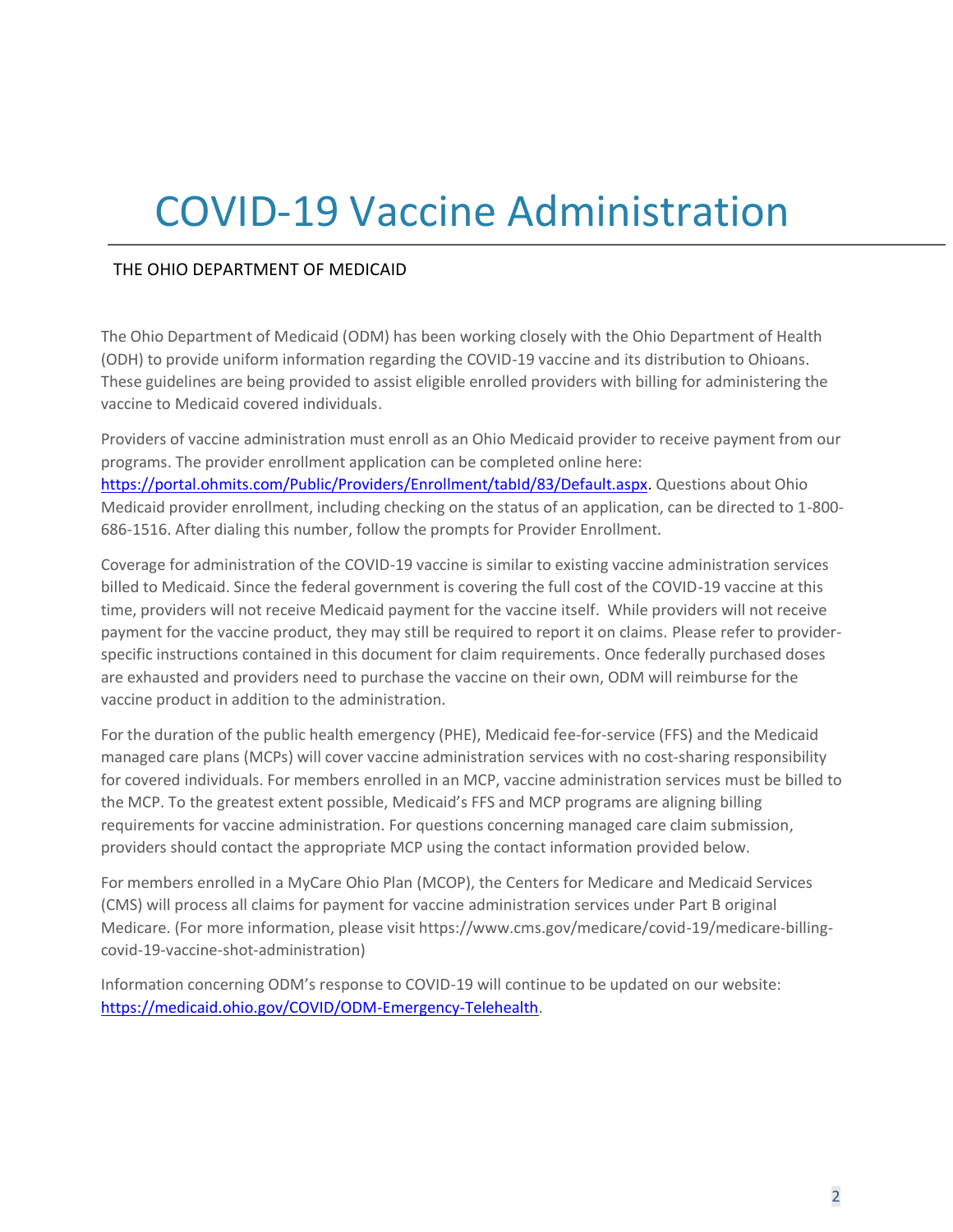## COVID-19 Vaccine Administration

#### THE OHIO DEPARTMENT OF MEDICAID

The Ohio Department of Medicaid (ODM) has been working closely with the Ohio Department of Health (ODH) to provide uniform information regarding the COVID-19 vaccine and its distribution to Ohioans. These guidelines are being provided to assist eligible enrolled providers with billing for administering the vaccine to Medicaid covered individuals.

Providers of vaccine administration must enroll as an Ohio Medicaid provider to receive payment from our programs. The provider enrollment application can be completed online here: [https://portal.ohmits.com/Public/Providers/Enrollment/tabId/83/Default.aspx.](https://gcc02.safelinks.protection.outlook.com/?url=https%3A%2F%2Fportal.ohmits.com%2FPublic%2FProviders%2FEnrollment%2FtabId%2F83%2FDefault.aspx&data=04%7C01%7CNichole.small%40medicaid.ohio.gov%7C1180c79e24ec4e94ccdd08d93810fc84%7C50f8fcc494d84f0784eb36ed57c7c8a2%7C0%7C0%7C637602467862916702%7CUnknown%7CTWFpbGZsb3d8eyJWIjoiMC4wLjAwMDAiLCJQIjoiV2luMzIiLCJBTiI6Ik1haWwiLCJXVCI6Mn0%3D%7C1000&sdata=CpYRNCZYtV1ohudB8KsW4DPNJodaCLBd390yj04b4qU%3D&reserved=0) Questions about Ohio Medicaid provider enrollment, including checking on the status of an application, can be directed to 1-800- 686-1516. After dialing this number, follow the prompts for Provider Enrollment.

Coverage for administration of the COVID-19 vaccine is similar to existing vaccine administration services billed to Medicaid. Since the federal government is covering the full cost of the COVID-19 vaccine at this time, providers will not receive Medicaid payment for the vaccine itself. While providers will not receive payment for the vaccine product, they may still be required to report it on claims. Please refer to providerspecific instructions contained in this document for claim requirements. Once federally purchased doses are exhausted and providers need to purchase the vaccine on their own, ODM will reimburse for the vaccine product in addition to the administration.

For the duration of the public health emergency (PHE), Medicaid fee-for-service (FFS) and the Medicaid managed care plans (MCPs) will cover vaccine administration services with no cost-sharing responsibility for covered individuals. For members enrolled in an MCP, vaccine administration services must be billed to the MCP. To the greatest extent possible, Medicaid's FFS and MCP programs are aligning billing requirements for vaccine administration. For questions concerning managed care claim submission, providers should contact the appropriate MCP using the contact information provided below.

For members enrolled in a MyCare Ohio Plan (MCOP), the Centers for Medicare and Medicaid Services (CMS) will process all claims for payment for vaccine administration services under Part B original Medicare. (For more information, please visit https://www.cms.gov/medicare/covid-19/medicare-billingcovid-19-vaccine-shot-administration)

Information concerning ODM's response to COVID-19 will continue to be updated on our website: [https://medicaid.ohio.gov/COVID/ODM-Emergency-Telehealth.](https://medicaid.ohio.gov/COVID/ODM-Emergency-Telehealth)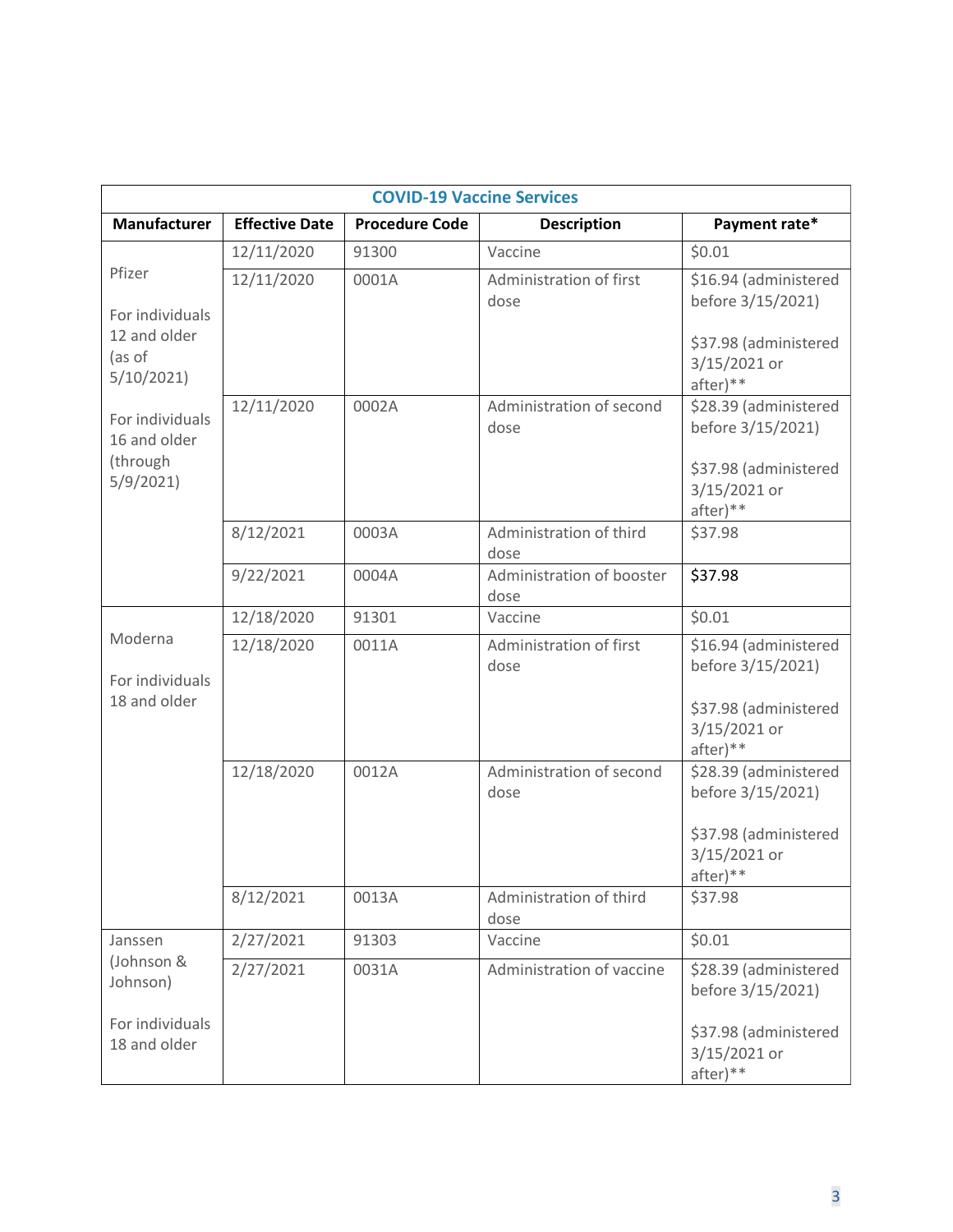| <b>COVID-19 Vaccine Services</b>                        |                       |                       |                                   |                                                                                                 |
|---------------------------------------------------------|-----------------------|-----------------------|-----------------------------------|-------------------------------------------------------------------------------------------------|
| Manufacturer                                            | <b>Effective Date</b> | <b>Procedure Code</b> | <b>Description</b>                | Payment rate*                                                                                   |
|                                                         | 12/11/2020            | 91300                 | Vaccine                           | \$0.01                                                                                          |
| Pfizer                                                  | 12/11/2020            | 0001A                 | Administration of first           | \$16.94 (administered                                                                           |
| For individuals<br>12 and older<br>(as of<br>5/10/2021  |                       |                       | dose                              | before 3/15/2021)<br>\$37.98 (administered<br>3/15/2021 or<br>after)**                          |
| For individuals<br>16 and older<br>(through<br>5/9/2021 | 12/11/2020            | 0002A                 | Administration of second<br>dose  | \$28.39 (administered<br>before 3/15/2021)<br>\$37.98 (administered<br>3/15/2021 or<br>after)** |
|                                                         | 8/12/2021             | 0003A                 | Administration of third<br>dose   | \$37.98                                                                                         |
|                                                         | 9/22/2021             | 0004A                 | Administration of booster<br>dose | \$37.98                                                                                         |
|                                                         | 12/18/2020            | 91301                 | Vaccine                           | \$0.01                                                                                          |
| Moderna<br>For individuals<br>18 and older              | 12/18/2020            | 0011A                 | Administration of first<br>dose   | \$16.94 (administered<br>before 3/15/2021)<br>\$37.98 (administered<br>3/15/2021 or<br>after)** |
|                                                         | 12/18/2020            | 0012A                 | Administration of second<br>dose  | \$28.39 (administered<br>before 3/15/2021)<br>\$37.98 (administered<br>3/15/2021 or<br>after)** |
|                                                         | 8/12/2021             | 0013A                 | Administration of third<br>dose   | \$37.98                                                                                         |
| Janssen                                                 | 2/27/2021             | 91303                 | Vaccine                           | \$0.01                                                                                          |
| (Johnson &<br>Johnson)                                  | 2/27/2021             | 0031A                 | Administration of vaccine         | \$28.39 (administered<br>before 3/15/2021)                                                      |
| For individuals<br>18 and older                         |                       |                       |                                   | \$37.98 (administered<br>3/15/2021 or<br>after)**                                               |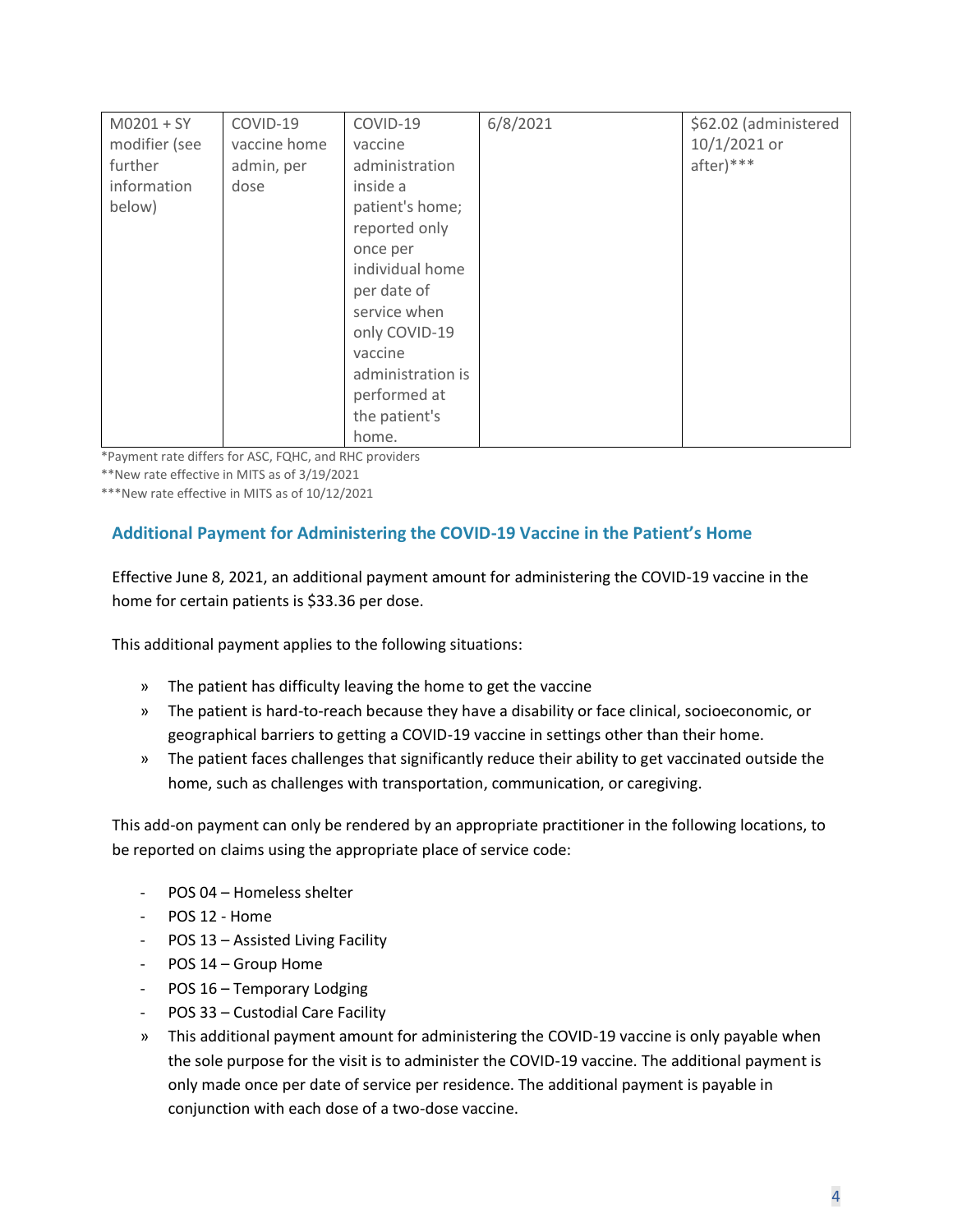| $M0201 + SY$  | COVID-19     | COVID-19          | 6/8/2021 | \$62.02 (administered |
|---------------|--------------|-------------------|----------|-----------------------|
| modifier (see | vaccine home | vaccine           |          | 10/1/2021 or          |
|               |              |                   |          |                       |
| further       | admin, per   | administration    |          | $after)$ ***          |
| information   | dose         | inside a          |          |                       |
| below)        |              | patient's home;   |          |                       |
|               |              | reported only     |          |                       |
|               |              | once per          |          |                       |
|               |              | individual home   |          |                       |
|               |              | per date of       |          |                       |
|               |              | service when      |          |                       |
|               |              | only COVID-19     |          |                       |
|               |              | vaccine           |          |                       |
|               |              | administration is |          |                       |
|               |              | performed at      |          |                       |
|               |              | the patient's     |          |                       |
|               |              | home.             |          |                       |

\*Payment rate differs for ASC, FQHC, and RHC providers

\*\*New rate effective in MITS as of 3/19/2021

\*\*\*New rate effective in MITS as of 10/12/2021

#### **Additional Payment for Administering the COVID-19 Vaccine in the Patient's Home**

Effective June 8, 2021, an additional payment amount for administering the COVID-19 vaccine in the home for certain patients is \$33.36 per dose.

This additional payment applies to the following situations:

- » The patient has difficulty leaving the home to get the vaccine
- » The patient is hard-to-reach because they have a disability or face clinical, socioeconomic, or geographical barriers to getting a COVID-19 vaccine in settings other than their home.
- » The patient faces challenges that significantly reduce their ability to get vaccinated outside the home, such as challenges with transportation, communication, or caregiving.

This add-on payment can only be rendered by an appropriate practitioner in the following locations, to be reported on claims using the appropriate place of service code:

- POS 04 Homeless shelter
- POS 12 Home
- POS 13 Assisted Living Facility
- POS 14 Group Home
- POS 16 Temporary Lodging
- POS 33 Custodial Care Facility
- » This additional payment amount for administering the COVID-19 vaccine is only payable when the sole purpose for the visit is to administer the COVID-19 vaccine. The additional payment is only made once per date of service per residence. The additional payment is payable in conjunction with each dose of a two-dose vaccine.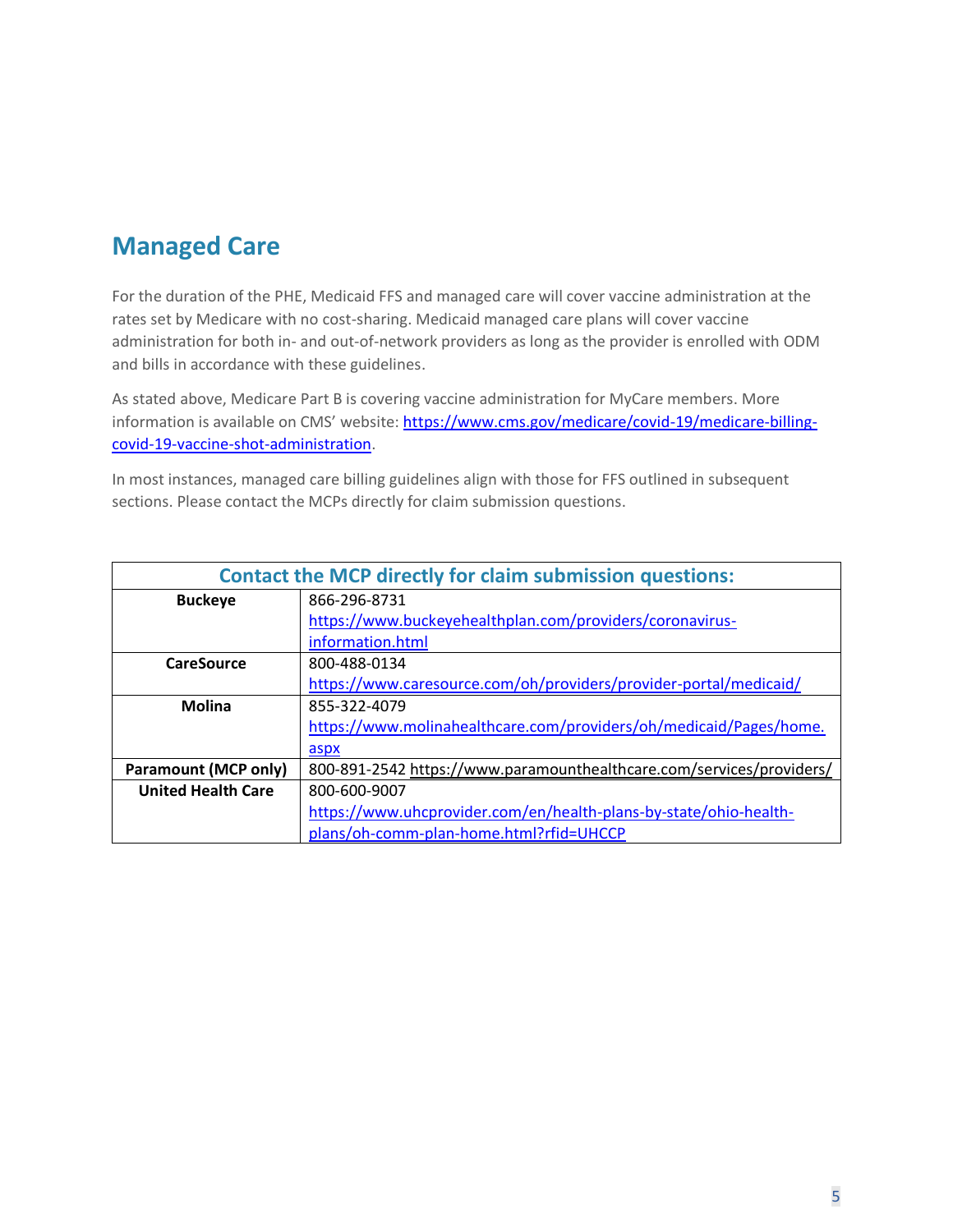## **Managed Care**

For the duration of the PHE, Medicaid FFS and managed care will cover vaccine administration at the rates set by Medicare with no cost-sharing. Medicaid managed care plans will cover vaccine administration for both in- and out-of-network providers as long as the provider is enrolled with ODM and bills in accordance with these guidelines.

As stated above, Medicare Part B is covering vaccine administration for MyCare members. More information is available on CMS' website: [https://www.cms.gov/medicare/covid-19/medicare-billing](https://www.cms.gov/medicare/covid-19/medicare-billing-covid-19-vaccine-shot-administration)[covid-19-vaccine-shot-administration.](https://www.cms.gov/medicare/covid-19/medicare-billing-covid-19-vaccine-shot-administration)

In most instances, managed care billing guidelines align with those for FFS outlined in subsequent sections. Please contact the MCPs directly for claim submission questions.

|                             | <b>Contact the MCP directly for claim submission questions:</b>      |  |  |  |
|-----------------------------|----------------------------------------------------------------------|--|--|--|
| <b>Buckeye</b>              | 866-296-8731                                                         |  |  |  |
|                             | https://www.buckeyehealthplan.com/providers/coronavirus-             |  |  |  |
|                             | information.html                                                     |  |  |  |
| <b>CareSource</b>           | 800-488-0134                                                         |  |  |  |
|                             | https://www.caresource.com/oh/providers/provider-portal/medicaid/    |  |  |  |
| <b>Molina</b>               | 855-322-4079                                                         |  |  |  |
|                             | https://www.molinahealthcare.com/providers/oh/medicaid/Pages/home.   |  |  |  |
|                             | aspx                                                                 |  |  |  |
| <b>Paramount (MCP only)</b> | 800-891-2542 https://www.paramounthealthcare.com/services/providers/ |  |  |  |
| <b>United Health Care</b>   | 800-600-9007                                                         |  |  |  |
|                             | https://www.uhcprovider.com/en/health-plans-by-state/ohio-health-    |  |  |  |
|                             | plans/oh-comm-plan-home.html?rfid=UHCCP                              |  |  |  |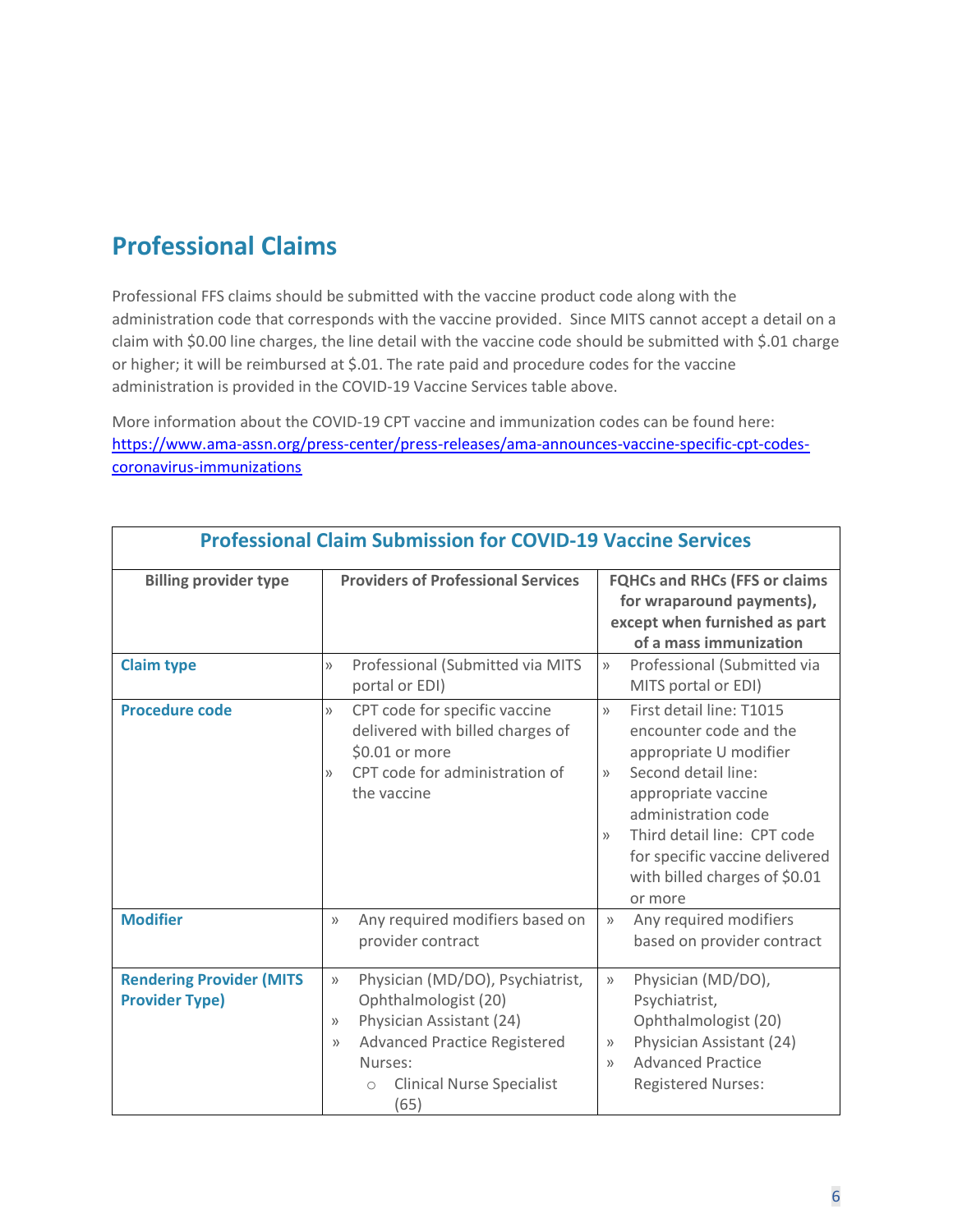## **Professional Claims**

Professional FFS claims should be submitted with the vaccine product code along with the administration code that corresponds with the vaccine provided. Since MITS cannot accept a detail on a claim with \$0.00 line charges, the line detail with the vaccine code should be submitted with \$.01 charge or higher; it will be reimbursed at \$.01. The rate paid and procedure codes for the vaccine administration is provided in the COVID-19 Vaccine Services table above.

More information about the COVID-19 CPT vaccine and immunization codes can be found here: [https://www.ama-assn.org/press-center/press-releases/ama-announces-vaccine-specific-cpt-codes](https://www.ama-assn.org/press-center/press-releases/ama-announces-vaccine-specific-cpt-codes-coronavirus-immunizations)[coronavirus-immunizations](https://www.ama-assn.org/press-center/press-releases/ama-announces-vaccine-specific-cpt-codes-coronavirus-immunizations)

|                                                          | PTUIESSIUHAI CIAIIII JUUIIIISSIUITTUI COVID-19 VACCINE JEIVICES                                                                                                                                                                      |                                                                                                                                                                                                                                                                                                                  |  |  |
|----------------------------------------------------------|--------------------------------------------------------------------------------------------------------------------------------------------------------------------------------------------------------------------------------------|------------------------------------------------------------------------------------------------------------------------------------------------------------------------------------------------------------------------------------------------------------------------------------------------------------------|--|--|
| <b>Billing provider type</b>                             | <b>Providers of Professional Services</b>                                                                                                                                                                                            | <b>FQHCs and RHCs (FFS or claims</b><br>for wraparound payments),<br>except when furnished as part<br>of a mass immunization                                                                                                                                                                                     |  |  |
| <b>Claim type</b>                                        | Professional (Submitted via MITS<br>$\rangle$<br>portal or EDI)                                                                                                                                                                      | Professional (Submitted via<br>$\rangle$<br>MITS portal or EDI)                                                                                                                                                                                                                                                  |  |  |
| <b>Procedure code</b>                                    | CPT code for specific vaccine<br>$\rangle$<br>delivered with billed charges of<br>\$0.01 or more<br>CPT code for administration of<br>$\rangle$<br>the vaccine                                                                       | First detail line: T1015<br>$\mathcal{Y}$<br>encounter code and the<br>appropriate U modifier<br>Second detail line:<br>$\rangle\rangle$<br>appropriate vaccine<br>administration code<br>Third detail line: CPT code<br>$\rangle$<br>for specific vaccine delivered<br>with billed charges of \$0.01<br>or more |  |  |
| <b>Modifier</b>                                          | Any required modifiers based on<br>$\rangle$<br>provider contract                                                                                                                                                                    | Any required modifiers<br>$\rangle$<br>based on provider contract                                                                                                                                                                                                                                                |  |  |
| <b>Rendering Provider (MITS</b><br><b>Provider Type)</b> | Physician (MD/DO), Psychiatrist,<br>$\rangle$<br>Ophthalmologist (20)<br>Physician Assistant (24)<br>>><br><b>Advanced Practice Registered</b><br>$\rangle\rangle$<br>Nurses:<br><b>Clinical Nurse Specialist</b><br>$\circ$<br>(65) | Physician (MD/DO),<br>$\rangle$<br>Psychiatrist,<br>Ophthalmologist (20)<br>Physician Assistant (24)<br>$\rangle\rangle$<br><b>Advanced Practice</b><br>$\rangle$<br><b>Registered Nurses:</b>                                                                                                                   |  |  |

#### **Professional Claim Submission for COVID-19 Vaccine Services**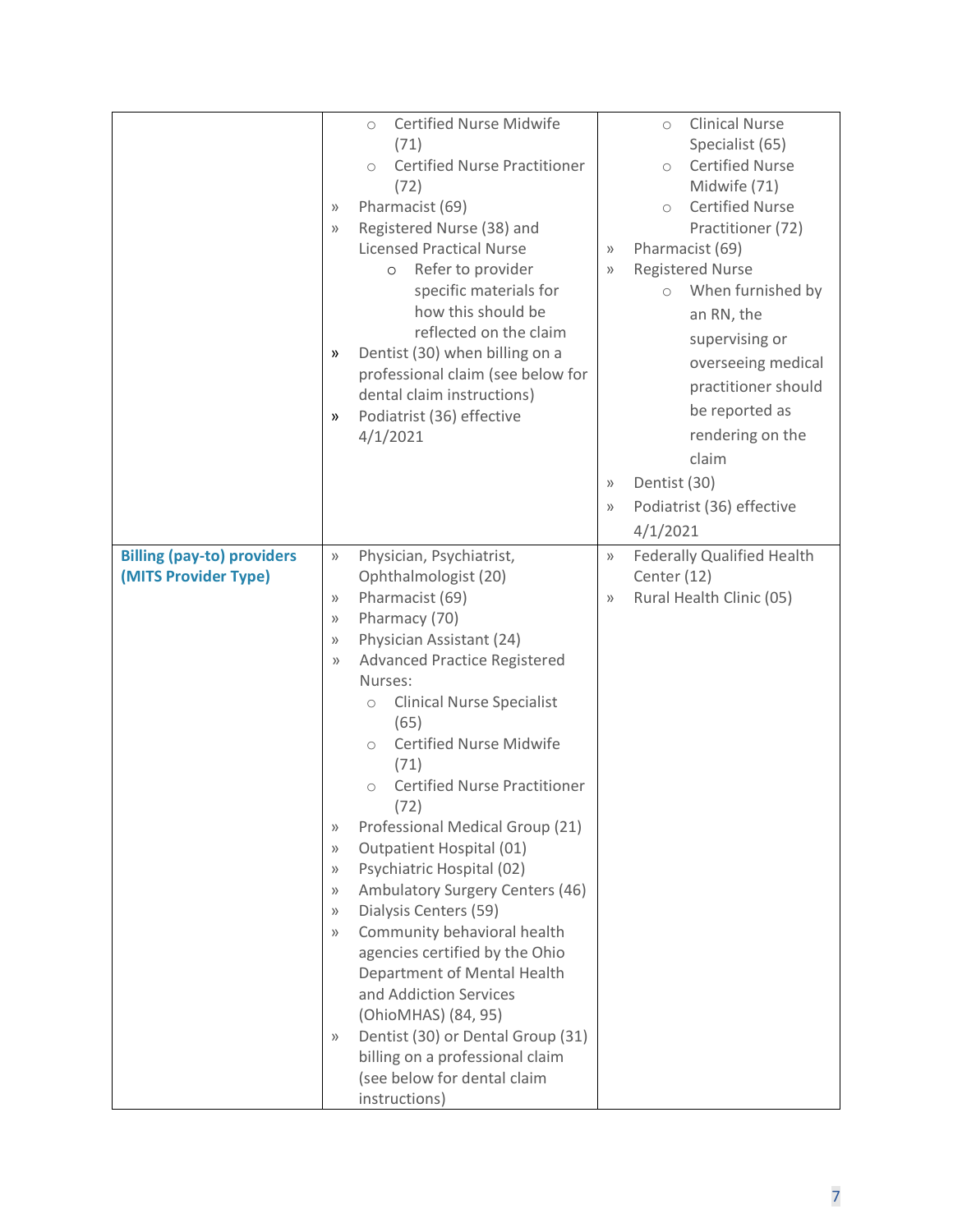|                                                           | <b>Certified Nurse Midwife</b><br>$\circ$<br>(71)<br><b>Certified Nurse Practitioner</b><br>$\bigcirc$<br>(72)<br>Pharmacist (69)<br>$\rangle$<br>Registered Nurse (38) and<br>$\rangle$<br><b>Licensed Practical Nurse</b><br>Refer to provider<br>$\circ$<br>specific materials for<br>how this should be<br>reflected on the claim<br>Dentist (30) when billing on a<br>>><br>professional claim (see below for<br>dental claim instructions)<br>Podiatrist (36) effective<br>»<br>4/1/2021                                                                                                                                                                                                                                                                                                                                                                                                                                                                                 | <b>Clinical Nurse</b><br>$\circ$<br>Specialist (65)<br><b>Certified Nurse</b><br>$\bigcirc$<br>Midwife (71)<br><b>Certified Nurse</b><br>$\circ$<br>Practitioner (72)<br>Pharmacist (69)<br>$\rangle\rangle$<br><b>Registered Nurse</b><br>$\rangle$<br>When furnished by<br>$\circ$<br>an RN, the<br>supervising or<br>overseeing medical<br>practitioner should<br>be reported as<br>rendering on the<br>claim<br>Dentist (30)<br>$\rangle$<br>Podiatrist (36) effective<br>$\rangle$<br>4/1/2021 |
|-----------------------------------------------------------|--------------------------------------------------------------------------------------------------------------------------------------------------------------------------------------------------------------------------------------------------------------------------------------------------------------------------------------------------------------------------------------------------------------------------------------------------------------------------------------------------------------------------------------------------------------------------------------------------------------------------------------------------------------------------------------------------------------------------------------------------------------------------------------------------------------------------------------------------------------------------------------------------------------------------------------------------------------------------------|-----------------------------------------------------------------------------------------------------------------------------------------------------------------------------------------------------------------------------------------------------------------------------------------------------------------------------------------------------------------------------------------------------------------------------------------------------------------------------------------------------|
| <b>Billing (pay-to) providers</b><br>(MITS Provider Type) | Physician, Psychiatrist,<br>$\rangle$<br>Ophthalmologist (20)<br>Pharmacist (69)<br>$\rangle\rangle$<br>Pharmacy (70)<br>$\rangle\rangle$<br>Physician Assistant (24)<br>$\rangle$<br>Advanced Practice Registered<br>$\rangle$<br>Nurses:<br><b>Clinical Nurse Specialist</b><br>$\bigcirc$<br>(65)<br><b>Certified Nurse Midwife</b><br>$\bigcirc$<br>(71)<br><b>Certified Nurse Practitioner</b><br>$\circ$<br>(72)<br>Professional Medical Group (21)<br>$\rangle$<br>Outpatient Hospital (01)<br>$\rangle\rangle$<br>Psychiatric Hospital (02)<br>$\rangle\rangle$<br>Ambulatory Surgery Centers (46)<br>$\rangle\rangle$<br>Dialysis Centers (59)<br>$\rangle\rangle$<br>Community behavioral health<br>$\rangle$<br>agencies certified by the Ohio<br>Department of Mental Health<br>and Addiction Services<br>(OhioMHAS) (84, 95)<br>Dentist (30) or Dental Group (31)<br>$\rangle$<br>billing on a professional claim<br>(see below for dental claim<br>instructions) | <b>Federally Qualified Health</b><br>$\rangle$<br>Center (12)<br>Rural Health Clinic (05)<br>$\rangle$                                                                                                                                                                                                                                                                                                                                                                                              |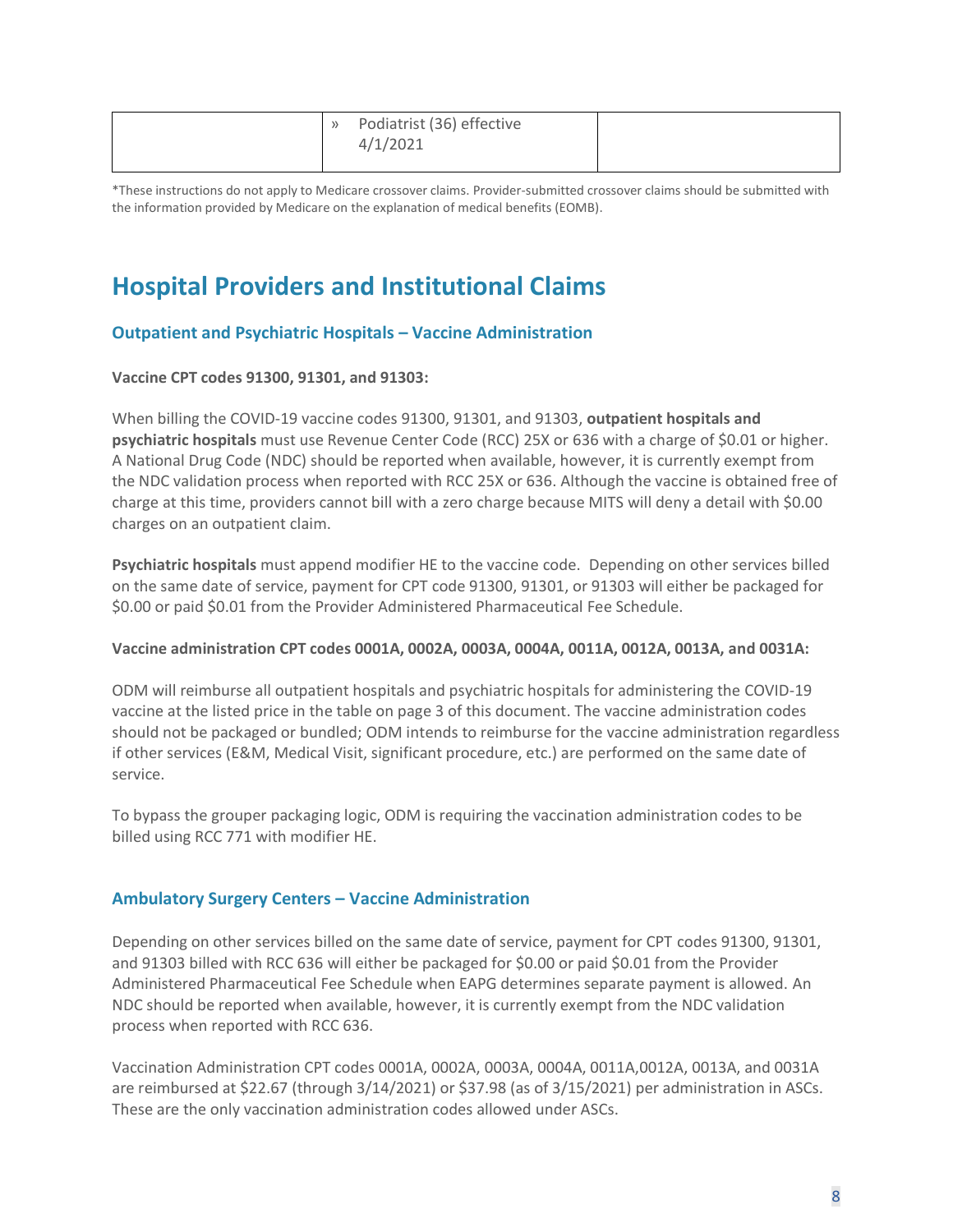| Podiatrist (36) effective<br>$\rightarrow$<br>4/1/2021 |  |
|--------------------------------------------------------|--|
|--------------------------------------------------------|--|

\*These instructions do not apply to Medicare crossover claims. Provider-submitted crossover claims should be submitted with the information provided by Medicare on the explanation of medical benefits (EOMB).

## **Hospital Providers and Institutional Claims**

#### **Outpatient and Psychiatric Hospitals – Vaccine Administration**

#### **Vaccine CPT codes 91300, 91301, and 91303:**

When billing the COVID-19 vaccine codes 91300, 91301, and 91303, **outpatient hospitals and psychiatric hospitals** must use Revenue Center Code (RCC) 25X or 636 with a charge of \$0.01 or higher. A National Drug Code (NDC) should be reported when available, however, it is currently exempt from the NDC validation process when reported with RCC 25X or 636. Although the vaccine is obtained free of charge at this time, providers cannot bill with a zero charge because MITS will deny a detail with \$0.00 charges on an outpatient claim.

**Psychiatric hospitals** must append modifier HE to the vaccine code. Depending on other services billed on the same date of service, payment for CPT code 91300, 91301, or 91303 will either be packaged for \$0.00 or paid \$0.01 from the Provider Administered Pharmaceutical Fee Schedule.

#### **Vaccine administration CPT codes 0001A, 0002A, 0003A, 0004A, 0011A, 0012A, 0013A, and 0031A:**

ODM will reimburse all outpatient hospitals and psychiatric hospitals for administering the COVID-19 vaccine at the listed price in the table on page 3 of this document. The vaccine administration codes should not be packaged or bundled; ODM intends to reimburse for the vaccine administration regardless if other services (E&M, Medical Visit, significant procedure, etc.) are performed on the same date of service.

To bypass the grouper packaging logic, ODM is requiring the vaccination administration codes to be billed using RCC 771 with modifier HE.

#### **Ambulatory Surgery Centers – Vaccine Administration**

Depending on other services billed on the same date of service, payment for CPT codes 91300, 91301, and 91303 billed with RCC 636 will either be packaged for \$0.00 or paid \$0.01 from the Provider Administered Pharmaceutical Fee Schedule when EAPG determines separate payment is allowed. An NDC should be reported when available, however, it is currently exempt from the NDC validation process when reported with RCC 636.

Vaccination Administration CPT codes 0001A, 0002A, 0003A, 0004A, 0011A,0012A, 0013A, and 0031A are reimbursed at \$22.67 (through 3/14/2021) or \$37.98 (as of 3/15/2021) per administration in ASCs. These are the only vaccination administration codes allowed under ASCs.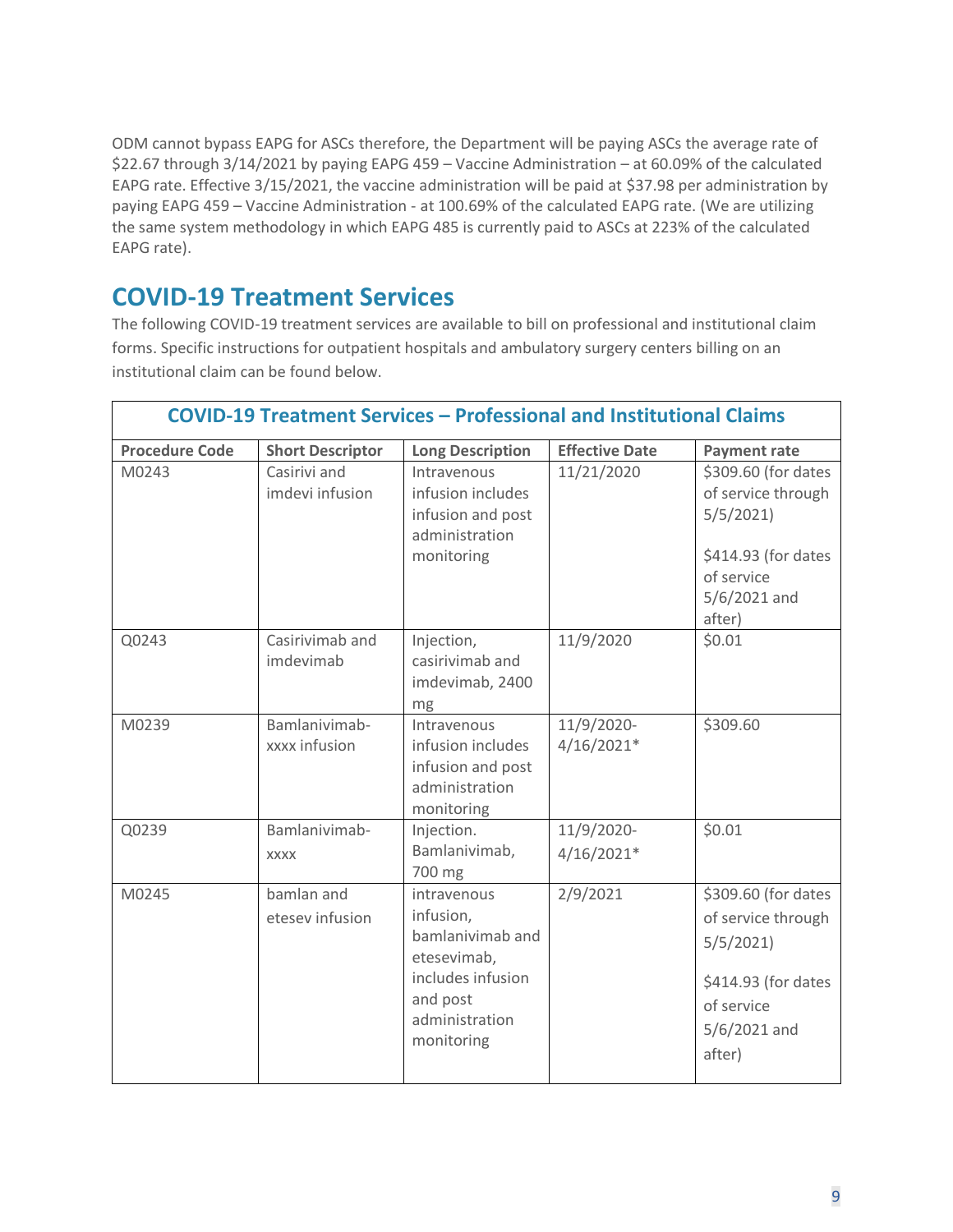ODM cannot bypass EAPG for ASCs therefore, the Department will be paying ASCs the average rate of \$22.67 through 3/14/2021 by paying EAPG 459 – Vaccine Administration – at 60.09% of the calculated EAPG rate. Effective 3/15/2021, the vaccine administration will be paid at \$37.98 per administration by paying EAPG 459 – Vaccine Administration - at 100.69% of the calculated EAPG rate. (We are utilizing the same system methodology in which EAPG 485 is currently paid to ASCs at 223% of the calculated EAPG rate).

### **COVID-19 Treatment Services**

The following COVID-19 treatment services are available to bill on professional and institutional claim forms. Specific instructions for outpatient hospitals and ambulatory surgery centers billing on an institutional claim can be found below.

|                       | <b>COVID-19 Treatment Services - Professional and Institutional Claims</b> |                                                                                                                              |                            |                                                                                                                      |  |
|-----------------------|----------------------------------------------------------------------------|------------------------------------------------------------------------------------------------------------------------------|----------------------------|----------------------------------------------------------------------------------------------------------------------|--|
| <b>Procedure Code</b> | <b>Short Descriptor</b>                                                    | <b>Long Description</b>                                                                                                      | <b>Effective Date</b>      | <b>Payment rate</b>                                                                                                  |  |
| M0243                 | Casirivi and<br>imdevi infusion                                            | Intravenous<br>infusion includes<br>infusion and post<br>administration<br>monitoring                                        | 11/21/2020                 | \$309.60 (for dates<br>of service through<br>5/5/2021<br>\$414.93 (for dates<br>of service<br>5/6/2021 and<br>after) |  |
| Q0243                 | Casirivimab and<br>imdevimab                                               | Injection,<br>casirivimab and<br>imdevimab, 2400<br>mg                                                                       | 11/9/2020                  | \$0.01                                                                                                               |  |
| M0239                 | Bamlanivimab-<br>xxxx infusion                                             | Intravenous<br>infusion includes<br>infusion and post<br>administration<br>monitoring                                        | 11/9/2020-<br>$4/16/2021*$ | \$309.60                                                                                                             |  |
| Q0239                 | Bamlanivimab-<br><b>XXXX</b>                                               | Injection.<br>Bamlanivimab,<br>700 mg                                                                                        | 11/9/2020-<br>$4/16/2021*$ | \$0.01                                                                                                               |  |
| M0245                 | bamlan and<br>etesev infusion                                              | intravenous<br>infusion,<br>bamlanivimab and<br>etesevimab,<br>includes infusion<br>and post<br>administration<br>monitoring | 2/9/2021                   | \$309.60 (for dates<br>of service through<br>5/5/2021<br>\$414.93 (for dates<br>of service<br>5/6/2021 and<br>after) |  |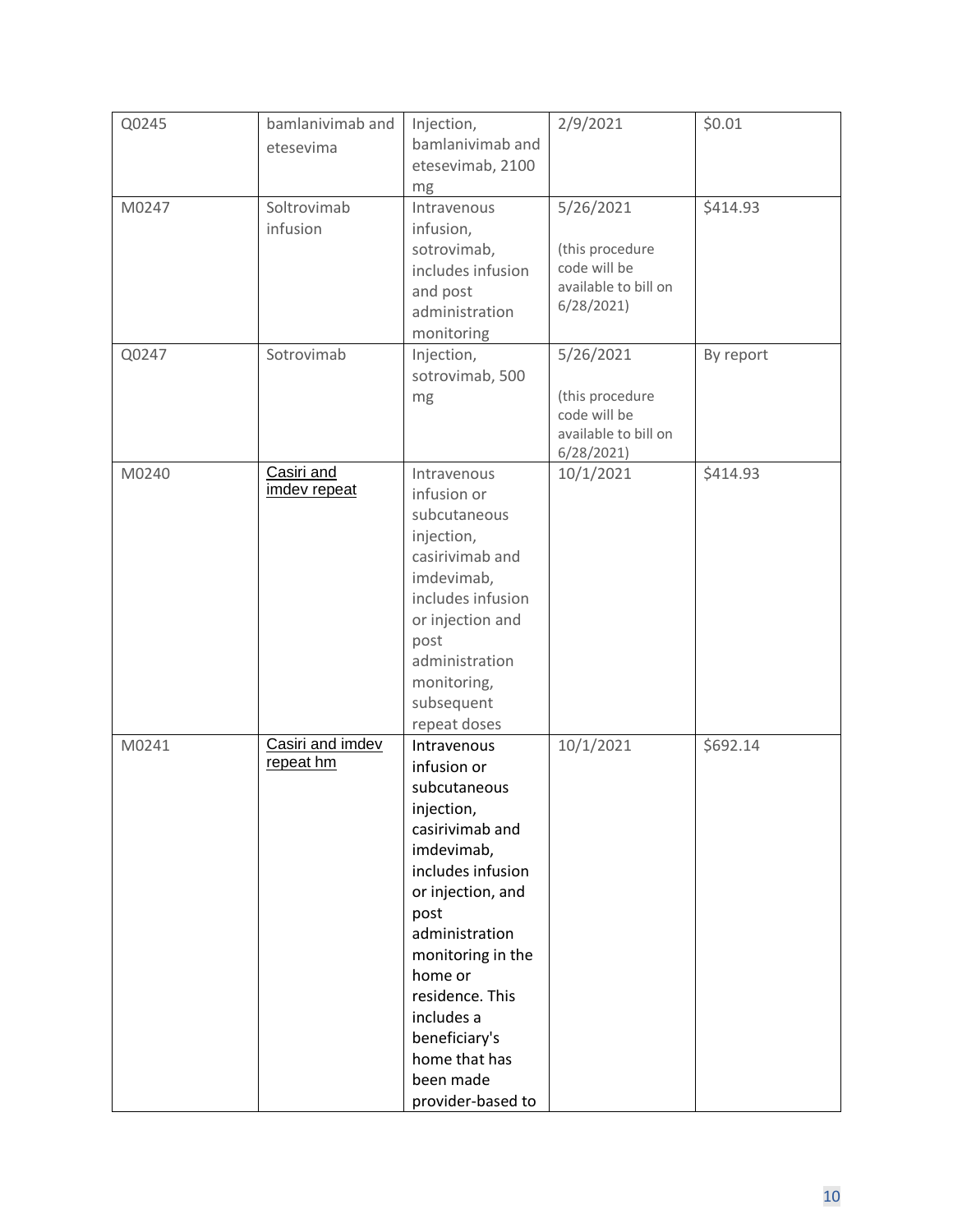| Q0245 | bamlanivimab and | Injection,<br>bamlanivimab and   | 2/9/2021                        | \$0.01    |
|-------|------------------|----------------------------------|---------------------------------|-----------|
|       | etesevima        | etesevimab, 2100                 |                                 |           |
| M0247 | Soltrovimab      | mg<br>Intravenous                | 5/26/2021                       | \$414.93  |
|       | infusion         | infusion,                        |                                 |           |
|       |                  | sotrovimab,<br>includes infusion | (this procedure<br>code will be |           |
|       |                  | and post                         | available to bill on            |           |
|       |                  | administration                   | 6/28/2021                       |           |
| Q0247 | Sotrovimab       | monitoring<br>Injection,         | 5/26/2021                       | By report |
|       |                  | sotrovimab, 500                  |                                 |           |
|       |                  | mg                               | (this procedure<br>code will be |           |
|       |                  |                                  | available to bill on            |           |
| M0240 | Casiri and       | Intravenous                      | 6/28/2021<br>10/1/2021          | \$414.93  |
|       | imdev repeat     | infusion or                      |                                 |           |
|       |                  | subcutaneous                     |                                 |           |
|       |                  | injection,                       |                                 |           |
|       |                  | casirivimab and                  |                                 |           |
|       |                  | imdevimab,<br>includes infusion  |                                 |           |
|       |                  | or injection and                 |                                 |           |
|       |                  | post                             |                                 |           |
|       |                  | administration                   |                                 |           |
|       |                  | monitoring,                      |                                 |           |
|       |                  | subsequent                       |                                 |           |
|       | Casiri and imdev | repeat doses                     |                                 |           |
| M0241 | repeat hm        | Intravenous<br>infusion or       | 10/1/2021                       | \$692.14  |
|       |                  | subcutaneous                     |                                 |           |
|       |                  | injection,                       |                                 |           |
|       |                  | casirivimab and                  |                                 |           |
|       |                  | imdevimab,                       |                                 |           |
|       |                  | includes infusion                |                                 |           |
|       |                  | or injection, and                |                                 |           |
|       |                  | post<br>administration           |                                 |           |
|       |                  | monitoring in the                |                                 |           |
|       |                  | home or                          |                                 |           |
|       |                  | residence. This                  |                                 |           |
|       |                  | includes a                       |                                 |           |
|       |                  | beneficiary's<br>home that has   |                                 |           |
|       |                  | been made                        |                                 |           |
|       |                  | provider-based to                |                                 |           |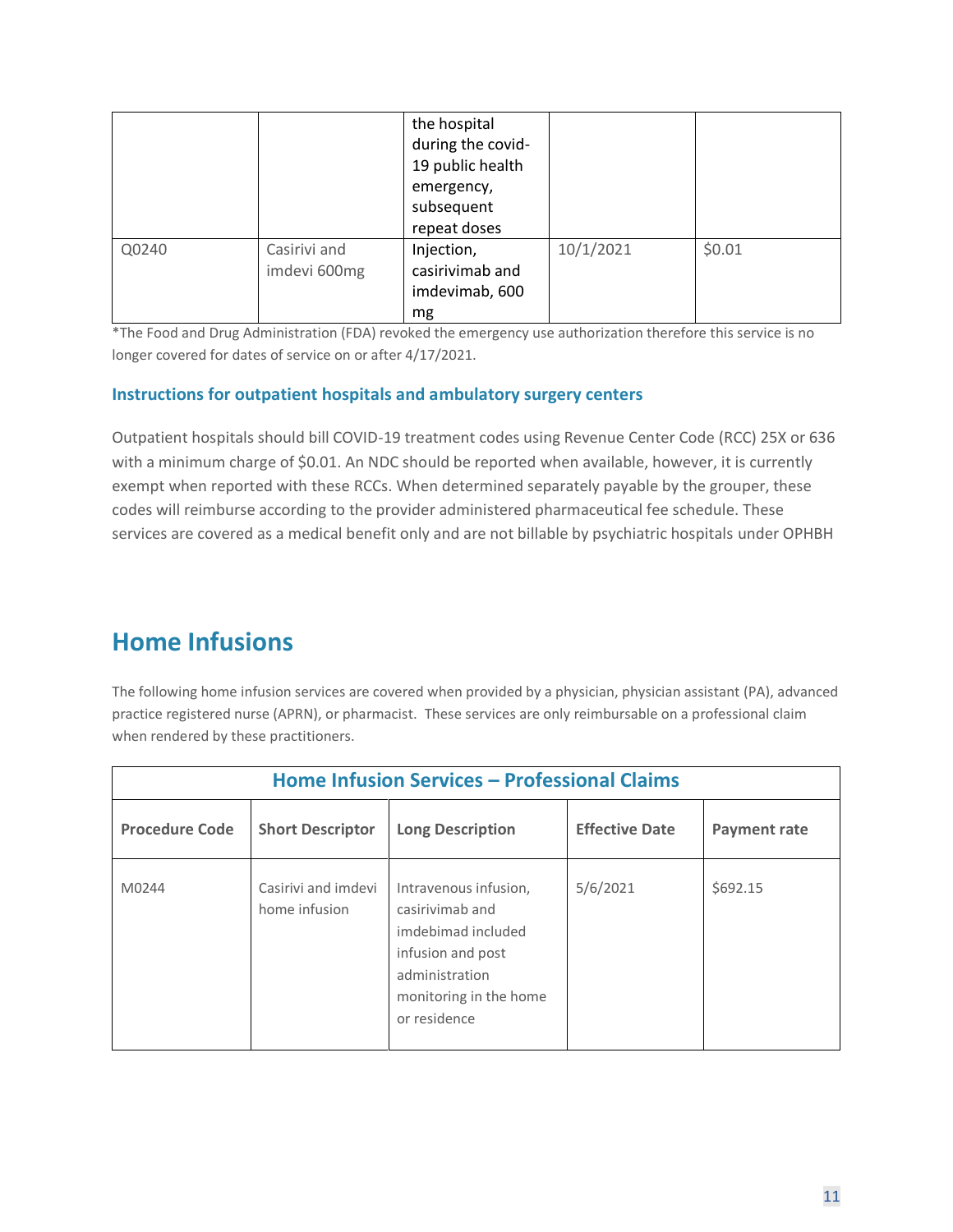|       |                              | the hospital<br>during the covid-<br>19 public health<br>emergency,<br>subsequent<br>repeat doses |           |        |
|-------|------------------------------|---------------------------------------------------------------------------------------------------|-----------|--------|
| Q0240 | Casirivi and<br>imdevi 600mg | Injection,<br>casirivimab and<br>imdevimab, 600<br>mg                                             | 10/1/2021 | \$0.01 |

\*The Food and Drug Administration (FDA) revoked the emergency use authorization therefore this service is no longer covered for dates of service on or after 4/17/2021.

#### **Instructions for outpatient hospitals and ambulatory surgery centers**

Outpatient hospitals should bill COVID-19 treatment codes using Revenue Center Code (RCC) 25X or 636 with a minimum charge of \$0.01. An NDC should be reported when available, however, it is currently exempt when reported with these RCCs. When determined separately payable by the grouper, these codes will reimburse according to the provider administered pharmaceutical fee schedule. These services are covered as a medical benefit only and are not billable by psychiatric hospitals under OPHBH

## **Home Infusions**

The following home infusion services are covered when provided by a physician, physician assistant (PA), advanced practice registered nurse (APRN), or pharmacist. These services are only reimbursable on a professional claim when rendered by these practitioners.

| <b>Home Infusion Services - Professional Claims</b> |                                      |                                                                                                                                                 |                       |                     |
|-----------------------------------------------------|--------------------------------------|-------------------------------------------------------------------------------------------------------------------------------------------------|-----------------------|---------------------|
| <b>Procedure Code</b>                               | <b>Short Descriptor</b>              | <b>Long Description</b>                                                                                                                         | <b>Effective Date</b> | <b>Payment rate</b> |
| M0244                                               | Casirivi and imdevi<br>home infusion | Intravenous infusion,<br>casirivimab and<br>imdebimad included<br>infusion and post<br>administration<br>monitoring in the home<br>or residence | 5/6/2021              | \$692.15            |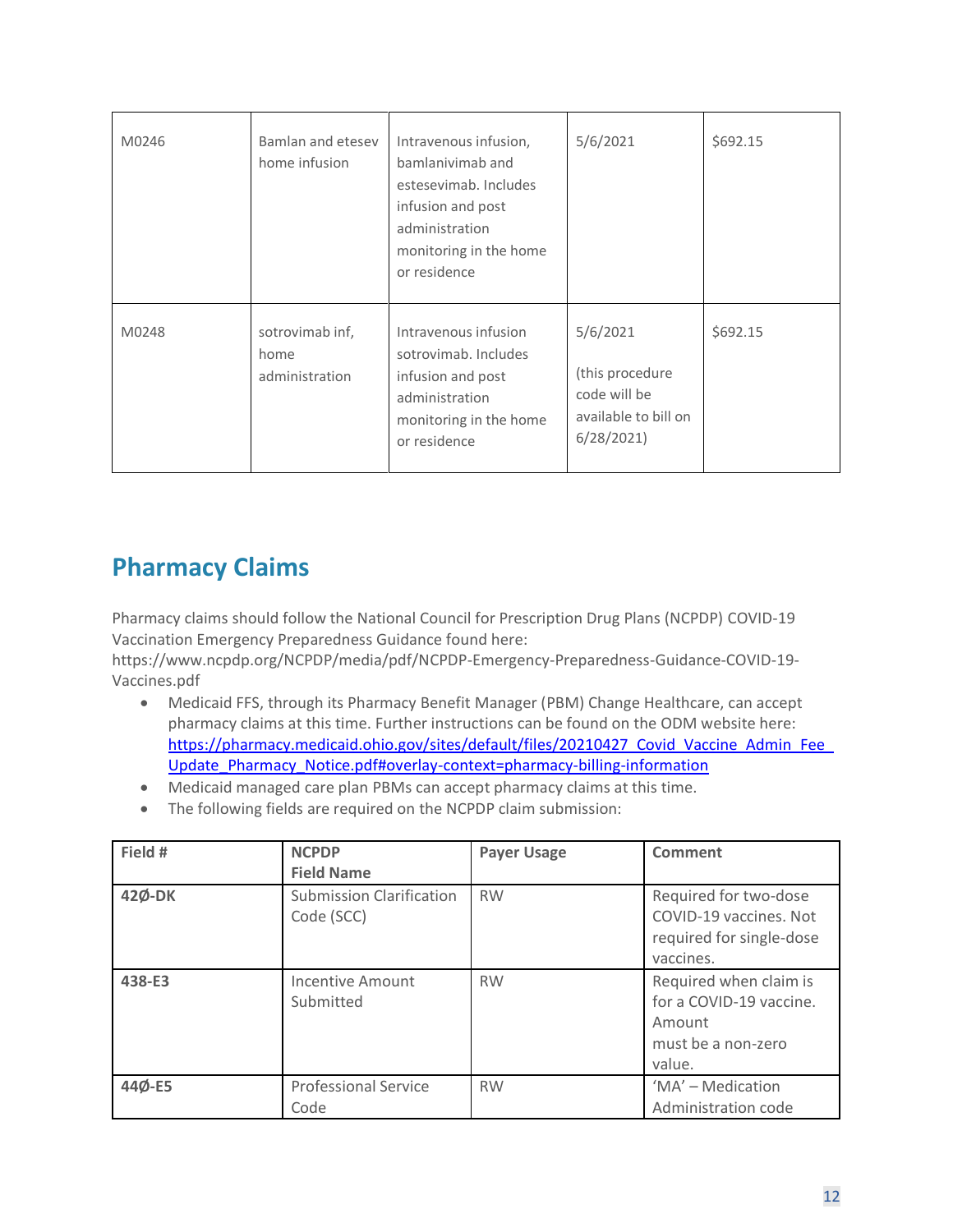| M0246 | Bamlan and etesey<br>home infusion        | Intravenous infusion,<br>bamlanivimab and<br>estesevimab. Includes<br>infusion and post<br>administration<br>monitoring in the home<br>or residence | 5/6/2021                                                                         | \$692.15 |
|-------|-------------------------------------------|-----------------------------------------------------------------------------------------------------------------------------------------------------|----------------------------------------------------------------------------------|----------|
| M0248 | sotrovimab inf,<br>home<br>administration | Intravenous infusion<br>sotrovimab. Includes<br>infusion and post<br>administration<br>monitoring in the home<br>or residence                       | 5/6/2021<br>(this procedure<br>code will be<br>available to bill on<br>6/28/2021 | \$692.15 |

## **Pharmacy Claims**

Pharmacy claims should follow the National Council for Prescription Drug Plans (NCPDP) COVID-19 Vaccination Emergency Preparedness Guidance found here:

[https://www.ncpdp.org/NCPDP/media/pdf/NCPDP-Emergency-Preparedness-Guidance-COVID-19-](https://www.ncpdp.org/NCPDP/media/pdf/NCPDP-Emergency-Preparedness-Guidance-COVID-19-Vaccines.pdf) [Vaccines.pdf](https://www.ncpdp.org/NCPDP/media/pdf/NCPDP-Emergency-Preparedness-Guidance-COVID-19-Vaccines.pdf)

- Medicaid FFS, through its Pharmacy Benefit Manager (PBM) Change Healthcare, can accept pharmacy claims at this time. Further instructions can be found on the ODM website here: https://pharmacy.medicaid.ohio.gov/sites/default/files/20210427 Covid Vaccine Admin Fee Update Pharmacy Notice.pdf#overlay-context=pharmacy-billing-information
- Medicaid managed care plan PBMs can accept pharmacy claims at this time.
- The following fields are required on the NCPDP claim submission:

| Field # | <b>NCPDP</b>                                  | <b>Payer Usage</b> | Comment                                                                                     |
|---------|-----------------------------------------------|--------------------|---------------------------------------------------------------------------------------------|
|         | <b>Field Name</b>                             |                    |                                                                                             |
| 42Ø-DK  | <b>Submission Clarification</b><br>Code (SCC) | <b>RW</b>          | Required for two-dose<br>COVID-19 vaccines. Not<br>required for single-dose<br>vaccines.    |
| 438-E3  | Incentive Amount<br>Submitted                 | <b>RW</b>          | Required when claim is<br>for a COVID-19 vaccine.<br>Amount<br>must be a non-zero<br>value. |
| 44Ø-E5  | <b>Professional Service</b><br>Code           | <b>RW</b>          | 'MA' - Medication<br>Administration code                                                    |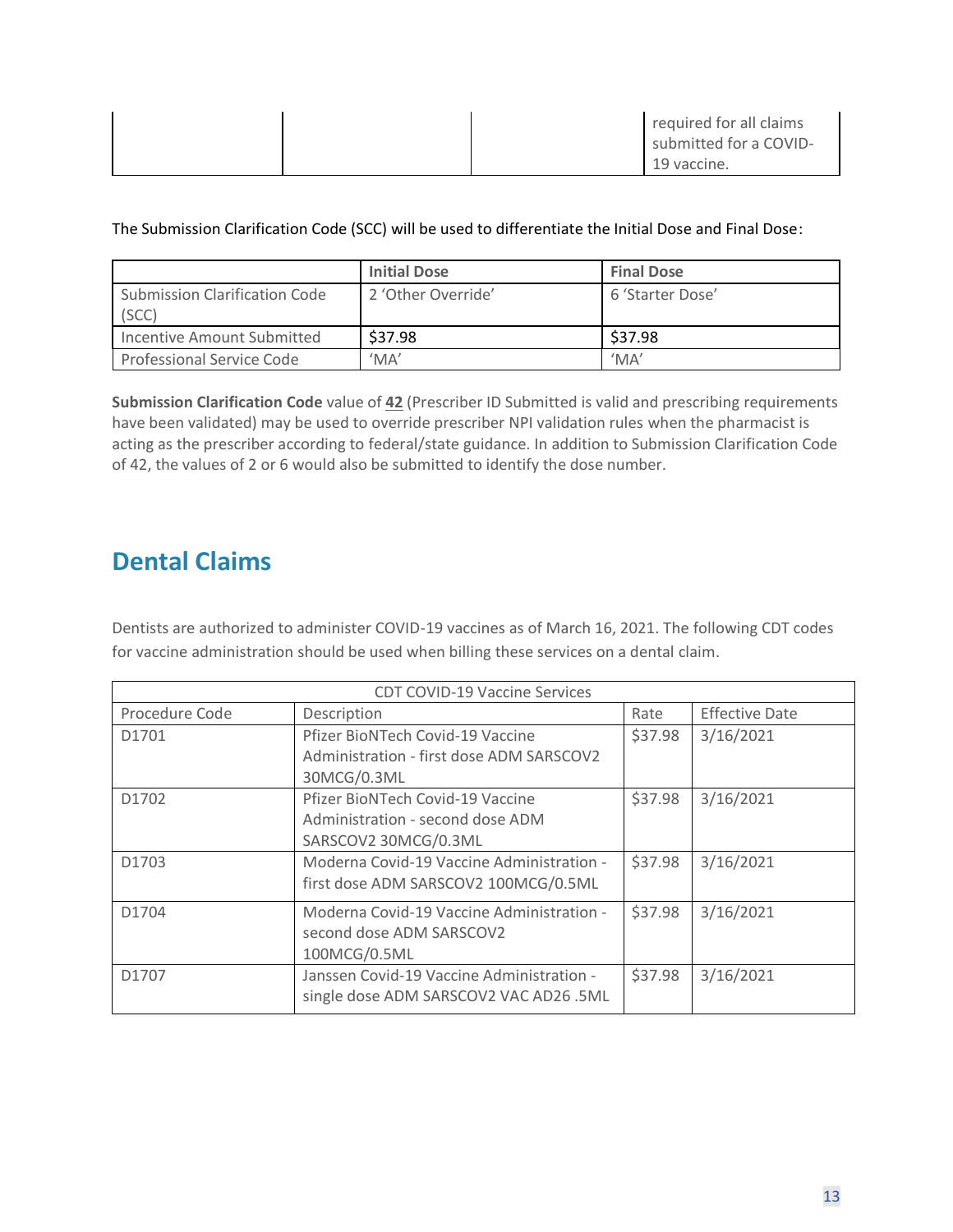|  | required for all claims<br>submitted for a COVID- |
|--|---------------------------------------------------|
|  | 19 vaccine.                                       |

The Submission Clarification Code (SCC) will be used to differentiate the Initial Dose and Final Dose:

|                                        | <b>Initial Dose</b>        | <b>Final Dose</b>          |
|----------------------------------------|----------------------------|----------------------------|
| Submission Clarification Code<br>(SCC) | 2 'Other Override'         | 6 'Starter Dose'           |
| Incentive Amount Submitted             | \$37.98                    | \$37.98                    |
| Professional Service Code              | $^{\prime}$ MA $^{\prime}$ | $^{\prime}$ MA $^{\prime}$ |

**Submission Clarification Code** value of **42** (Prescriber ID Submitted is valid and prescribing requirements have been validated) may be used to override prescriber NPI validation rules when the pharmacist is acting as the prescriber according to federal/state guidance. In addition to Submission Clarification Code of 42, the values of 2 or 6 would also be submitted to identify the dose number.

## **Dental Claims**

Dentists are authorized to administer COVID-19 vaccines as of March 16, 2021. The following CDT codes for vaccine administration should be used when billing these services on a dental claim.

| <b>CDT COVID-19 Vaccine Services</b> |                                           |         |                       |  |  |
|--------------------------------------|-------------------------------------------|---------|-----------------------|--|--|
| Procedure Code                       | Description                               | Rate    | <b>Effective Date</b> |  |  |
| D1701                                | Pfizer BioNTech Covid-19 Vaccine          | \$37.98 | 3/16/2021             |  |  |
|                                      | Administration - first dose ADM SARSCOV2  |         |                       |  |  |
|                                      | 30MCG/0.3ML                               |         |                       |  |  |
| D1702                                | Pfizer BioNTech Covid-19 Vaccine          | \$37.98 | 3/16/2021             |  |  |
|                                      | Administration - second dose ADM          |         |                       |  |  |
|                                      | SARSCOV2 30MCG/0.3ML                      |         |                       |  |  |
| D1703                                | Moderna Covid-19 Vaccine Administration - | \$37.98 | 3/16/2021             |  |  |
|                                      | first dose ADM SARSCOV2 100MCG/0.5ML      |         |                       |  |  |
| D1704                                | Moderna Covid-19 Vaccine Administration - | \$37.98 | 3/16/2021             |  |  |
|                                      | second dose ADM SARSCOV2                  |         |                       |  |  |
|                                      | 100MCG/0.5ML                              |         |                       |  |  |
| D1707                                | Janssen Covid-19 Vaccine Administration - | \$37.98 | 3/16/2021             |  |  |
|                                      | single dose ADM SARSCOV2 VAC AD26 .5ML    |         |                       |  |  |
|                                      |                                           |         |                       |  |  |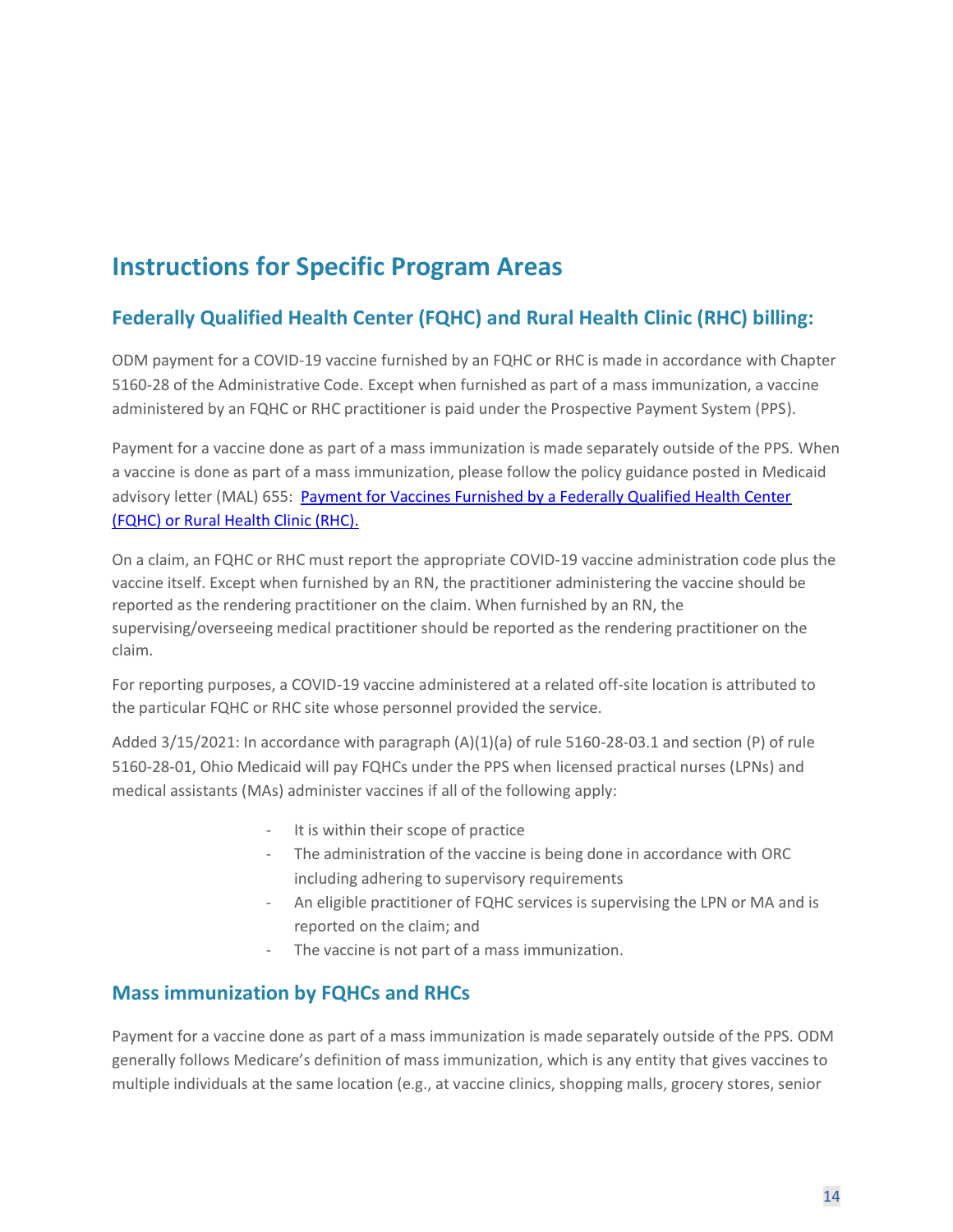## **Instructions for Specific Program Areas**

#### **Federally Qualified Health Center (FQHC) and Rural Health Clinic (RHC) billing:**

ODM payment for a COVID-19 vaccine furnished by an FQHC or RHC is made in accordance with Chapter 5160-28 of the Administrative Code. Except when furnished as part of a mass immunization, a vaccine administered by an FQHC or RHC practitioner is paid under the Prospective Payment System (PPS).

Payment for a vaccine done as part of a mass immunization is made separately outside of the PPS. When a vaccine is done as part of a mass immunization, please follow the policy guidance posted in Medicaid advisory letter (MAL) 655: [Payment for Vaccines Furnished by a Federally Qualified Health Center](https://medicaid.ohio.gov/static/About+Us/PoliciesGuidelines/MAL/MAL-655.pdf)  [\(FQHC\) or Rural Health Clinic \(RHC\).](https://medicaid.ohio.gov/static/About+Us/PoliciesGuidelines/MAL/MAL-655.pdf)

On a claim, an FQHC or RHC must report the appropriate COVID-19 vaccine administration code plus the vaccine itself. Except when furnished by an RN, the practitioner administering the vaccine should be reported as the rendering practitioner on the claim. When furnished by an RN, the supervising/overseeing medical practitioner should be reported as the rendering practitioner on the claim.

For reporting purposes, a COVID-19 vaccine administered at a related off-site location is attributed to the particular FQHC or RHC site whose personnel provided the service.

Added 3/15/2021: In accordance with paragraph (A)(1)(a) of rule 5160-28-03.1 and section (P) of rule 5160-28-01, Ohio Medicaid will pay FQHCs under the PPS when licensed practical nurses (LPNs) and medical assistants (MAs) administer vaccines if all of the following apply:

- It is within their scope of practice
- The administration of the vaccine is being done in accordance with ORC including adhering to supervisory requirements
- An eligible practitioner of FQHC services is supervising the LPN or MA and is reported on the claim; and
- The vaccine is not part of a mass immunization.

#### **Mass immunization by FQHCs and RHCs**

Payment for a vaccine done as part of a mass immunization is made separately outside of the PPS. ODM generally follows Medicare's definition of mass immunization, which is any entity that gives vaccines to multiple individuals at the same location (e.g., at vaccine clinics, shopping malls, grocery stores, senior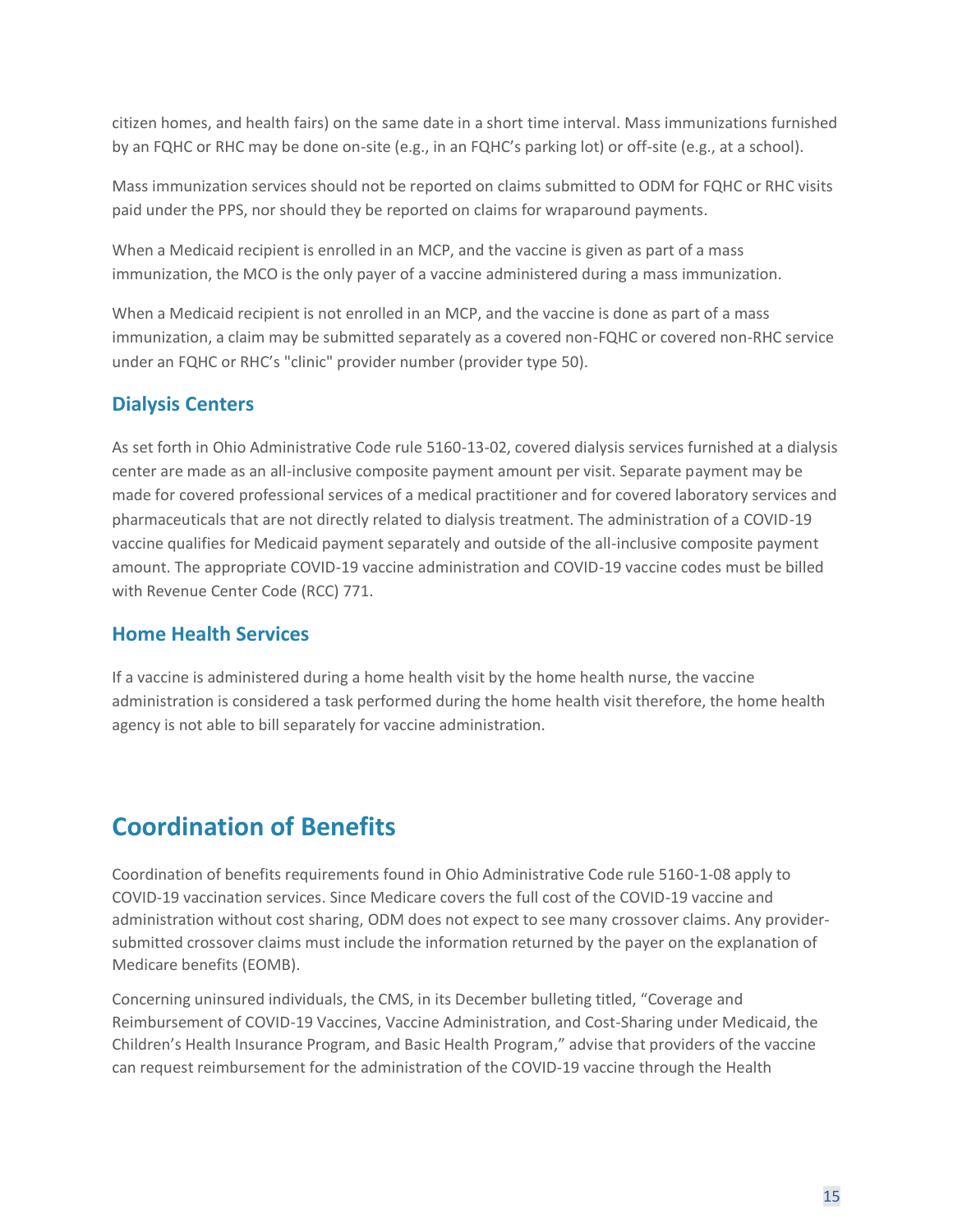citizen homes, and health fairs) on the same date in a short time interval. Mass immunizations furnished by an FQHC or RHC may be done on-site (e.g., in an FQHC's parking lot) or off-site (e.g., at a school).

Mass immunization services should not be reported on claims submitted to ODM for FQHC or RHC visits paid under the PPS, nor should they be reported on claims for wraparound payments.

When a Medicaid recipient is enrolled in an MCP, and the vaccine is given as part of a mass immunization, the MCO is the only payer of a vaccine administered during a mass immunization.

When a Medicaid recipient is not enrolled in an MCP, and the vaccine is done as part of a mass immunization, a claim may be submitted separately as a covered non-FQHC or covered non-RHC service under an FQHC or RHC's "clinic" provider number (provider type 50).

#### **Dialysis Centers**

As set forth in Ohio Administrative Code rule 5160-13-02, covered dialysis services furnished at a dialysis center are made as an all-inclusive composite payment amount per visit. Separate payment may be made for covered professional services of a medical practitioner and for covered laboratory services and pharmaceuticals that are not directly related to dialysis treatment. The administration of a COVID-19 vaccine qualifies for Medicaid payment separately and outside of the all-inclusive composite payment amount. The appropriate COVID-19 vaccine administration and COVID-19 vaccine codes must be billed with Revenue Center Code (RCC) 771.

#### **Home Health Services**

If a vaccine is administered during a home health visit by the home health nurse, the vaccine administration is considered a task performed during the home health visit therefore, the home health agency is not able to bill separately for vaccine administration.

## **Coordination of Benefits**

Coordination of benefits requirements found in Ohio Administrative Code rule 5160-1-08 apply to COVID-19 vaccination services. Since Medicare covers the full cost of the COVID-19 vaccine and administration without cost sharing, ODM does not expect to see many crossover claims. Any providersubmitted crossover claims must include the information returned by the payer on the explanation of Medicare benefits (EOMB).

Concerning uninsured individuals, the CMS, in its December bulleting titled, "Coverage and Reimbursement of COVID-19 Vaccines, Vaccine Administration, and Cost-Sharing under Medicaid, the Children's Health Insurance Program, and Basic Health Program," advise that providers of the vaccine can request reimbursement for the administration of the COVID-19 vaccine through the Health